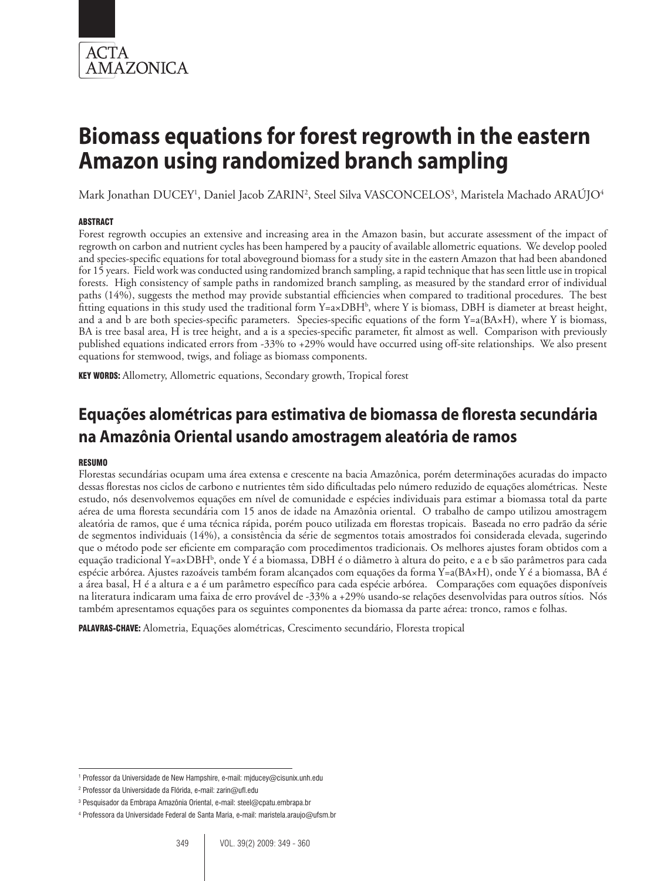

Mark Jonathan DUCEY<sup>1</sup>, Daniel Jacob ZARIN<sup>2</sup>, Steel Silva VASCONCELOS<sup>3</sup>, Maristela Machado ARAÚJO<sup>4</sup>

## **ABSTRACT**

Forest regrowth occupies an extensive and increasing area in the Amazon basin, but accurate assessment of the impact of regrowth on carbon and nutrient cycles has been hampered by a paucity of available allometric equations. We develop pooled and species-specific equations for total aboveground biomass for a study site in the eastern Amazon that had been abandoned for 15 years. Field work was conducted using randomized branch sampling, a rapid technique that has seen little use in tropical forests. High consistency of sample paths in randomized branch sampling, as measured by the standard error of individual paths (14%), suggests the method may provide substantial efficiencies when compared to traditional procedures. The best fitting equations in this study used the traditional form Y=a×DBH<sup>b</sup>, where Y is biomass, DBH is diameter at breast height, and a and b are both species-specific parameters. Species-specific equations of the form  $Y=a(BAxH)$ , where Y is biomass, BA is tree basal area, H is tree height, and a is a species-specific parameter, fit almost as well. Comparison with previously published equations indicated errors from -33% to +29% would have occurred using off-site relationships. We also present equations for stemwood, twigs, and foliage as biomass components.

KEY WORDS: Allometry, Allometric equations, Secondary growth, Tropical forest

# **Equações alométricas para estimativa de biomassa de floresta secundária na Amazônia Oriental usando amostragem aleatória de ramos**

#### RESUMO

Florestas secundárias ocupam uma área extensa e crescente na bacia Amazônica, porém determinações acuradas do impacto dessas florestas nos ciclos de carbono e nutrientes têm sido dificultadas pelo número reduzido de equações alométricas. Neste estudo, nós desenvolvemos equações em nível de comunidade e espécies individuais para estimar a biomassa total da parte aérea de uma floresta secundária com 15 anos de idade na Amazônia oriental. O trabalho de campo utilizou amostragem aleatória de ramos, que é uma técnica rápida, porém pouco utilizada em florestas tropicais. Baseada no erro padrão da série de segmentos individuais (14%), a consistência da série de segmentos totais amostrados foi considerada elevada, sugerindo que o método pode ser eficiente em comparação com procedimentos tradicionais. Os melhores ajustes foram obtidos com a equação tradicional Y=a×DBHʰ, onde Y é a biomassa, DBH é o diâmetro à altura do peito, e a e b são parâmetros para cada espécie arbórea. Ajustes razoáveis também foram alcançados com equações da forma Y=a(BA×H), onde Y é a biomassa, BA é a área basal, H é a altura e a é um parâmetro específico para cada espécie arbórea. Comparações com equações disponíveis na literatura indicaram uma faixa de erro provável de -33% a +29% usando-se relações desenvolvidas para outros sítios. Nós também apresentamos equações para os seguintes componentes da biomassa da parte aérea: tronco, ramos e folhas.

PALAVRAS-CHAVE: Alometria, Equações alométricas, Crescimento secundário, Floresta tropical

<sup>1</sup> Professor da Universidade de New Hampshire, e-mail: mjducey@cisunix.unh.edu

<sup>2</sup> Professor da Universidade da Flórida, e-mail: zarin@ufl.edu

<sup>3</sup> Pesquisador da Embrapa Amazônia Oriental, e-mail: steel@cpatu.embrapa.br

<sup>4</sup> Professora da Universidade Federal de Santa Maria, e-mail: maristela.araujo@ufsm.br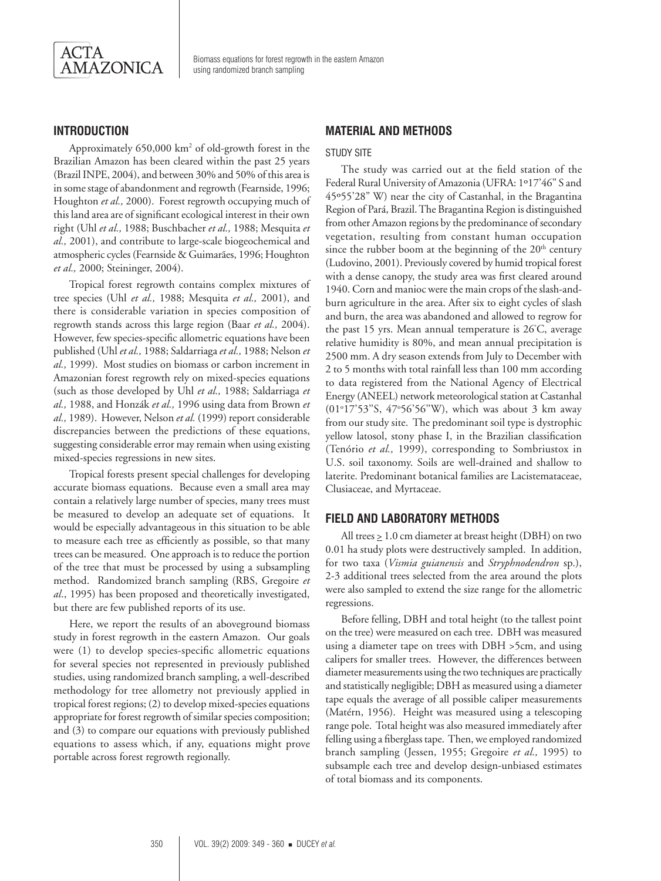

# **Introduction**

Approximately 650,000 km<sup>2</sup> of old-growth forest in the Brazilian Amazon has been cleared within the past 25 years (Brazil INPE, 2004), and between 30% and 50% of this area is in some stage of abandonment and regrowth (Fearnside, 1996; Houghton *et al.,* 2000). Forest regrowth occupying much of this land area are of significant ecological interest in their own right (Uhl *et al.,* 1988; Buschbacher *et al.,* 1988; Mesquita *et al.,* 2001), and contribute to large-scale biogeochemical and atmospheric cycles (Fearnside & Guimarães, 1996; Houghton *et al.,* 2000; Steininger, 2004).

Tropical forest regrowth contains complex mixtures of tree species (Uhl *et al.,* 1988; Mesquita *et al.,* 2001), and there is considerable variation in species composition of regrowth stands across this large region (Baar *et al.,* 2004). However, few species-specific allometric equations have been published (Uhl *et al.,* 1988; Saldarriaga *et al.,* 1988; Nelson *et al.,* 1999). Most studies on biomass or carbon increment in Amazonian forest regrowth rely on mixed-species equations (such as those developed by Uhl *et al.,* 1988; Saldarriaga *et al.,* 1988, and Honzák *et al.,* 1996 using data from Brown *et al.,* 1989). However, Nelson *et al.* (1999) report considerable discrepancies between the predictions of these equations, suggesting considerable error may remain when using existing mixed-species regressions in new sites.

Tropical forests present special challenges for developing accurate biomass equations. Because even a small area may contain a relatively large number of species, many trees must be measured to develop an adequate set of equations. It would be especially advantageous in this situation to be able to measure each tree as efficiently as possible, so that many trees can be measured. One approach is to reduce the portion of the tree that must be processed by using a subsampling method. Randomized branch sampling (RBS, Gregoire *et al*., 1995) has been proposed and theoretically investigated, but there are few published reports of its use.

Here, we report the results of an aboveground biomass study in forest regrowth in the eastern Amazon. Our goals were (1) to develop species-specific allometric equations for several species not represented in previously published studies, using randomized branch sampling, a well-described methodology for tree allometry not previously applied in tropical forest regions; (2) to develop mixed-species equations appropriate for forest regrowth of similar species composition; and (3) to compare our equations with previously published equations to assess which, if any, equations might prove portable across forest regrowth regionally.

# **MATERIAL AND METHODS**

#### STUDY SITE

The study was carried out at the field station of the Federal Rural University of Amazonia (UFRA: 1º17'46" S and 45º55'28" W) near the city of Castanhal, in the Bragantina Region of Pará, Brazil. The Bragantina Region is distinguished from other Amazon regions by the predominance of secondary vegetation, resulting from constant human occupation since the rubber boom at the beginning of the  $20<sup>th</sup>$  century (Ludovino, 2001). Previously covered by humid tropical forest with a dense canopy, the study area was first cleared around 1940. Corn and manioc were the main crops of the slash-andburn agriculture in the area. After six to eight cycles of slash and burn, the area was abandoned and allowed to regrow for the past 15 yrs. Mean annual temperature is 26° C, average relative humidity is 80%, and mean annual precipitation is 2500 mm. A dry season extends from July to December with 2 to 5 months with total rainfall less than 100 mm according to data registered from the National Agency of Electrical Energy (ANEEL) network meteorological station at Castanhal (01°17'53"S, 47°56'56"W), which was about 3 km away from our study site. The predominant soil type is dystrophic yellow latosol, stony phase I, in the Brazilian classification (Tenório *et al.,* 1999), corresponding to Sombriustox in U.S. soil taxonomy. Soils are well-drained and shallow to laterite. Predominant botanical families are Lacistemataceae, Clusiaceae, and Myrtaceae.

#### **Field and Laboratory Methods**

All trees  $\geq 1.0$  cm diameter at breast height (DBH) on two 0.01 ha study plots were destructively sampled. In addition, for two taxa (*Vismia guianensis* and *Stryphnodendron* sp.), 2-3 additional trees selected from the area around the plots were also sampled to extend the size range for the allometric regressions.

Before felling, DBH and total height (to the tallest point on the tree) were measured on each tree. DBH was measured using a diameter tape on trees with DBH >5cm, and using calipers for smaller trees. However, the differences between diameter measurements using the two techniques are practically and statistically negligible; DBH as measured using a diameter tape equals the average of all possible caliper measurements (Matérn, 1956). Height was measured using a telescoping range pole. Total height was also measured immediately after felling using a fiberglass tape. Then, we employed randomized branch sampling (Jessen, 1955; Gregoire *et al.,* 1995) to subsample each tree and develop design-unbiased estimates of total biomass and its components.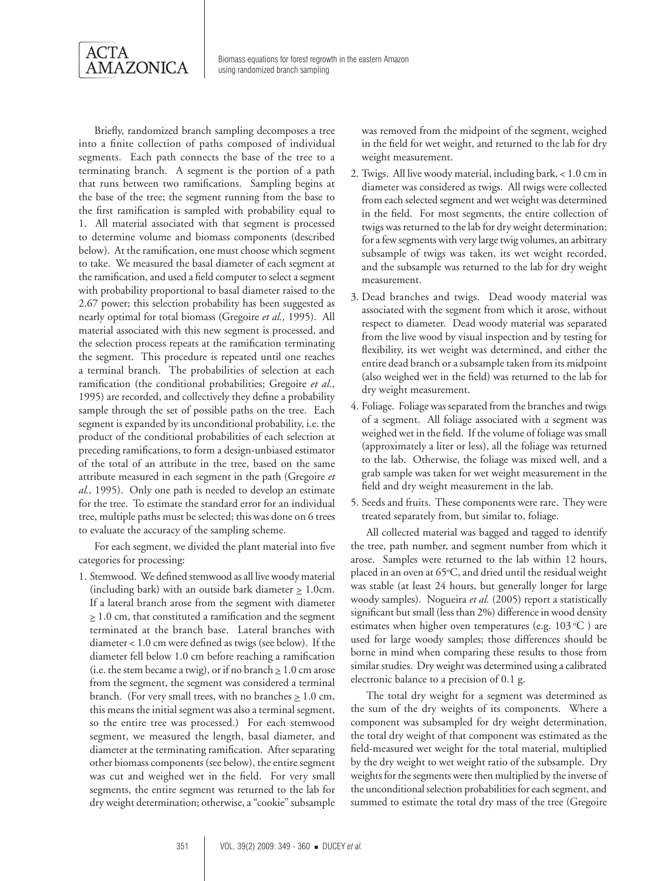

Briefly, randomized branch sampling decomposes a tree into a finite collection of paths composed of individual segments. Each path connects the base of the tree to a terminating branch. A segment is the portion of a path that runs between two ramifications. Sampling begins at the base of the tree; the segment running from the base to the first ramification is sampled with probability equal to 1. All material associated with that segment is processed to determine volume and biomass components (described below). At the ramification, one must choose which segment to take. We measured the basal diameter of each segment at the ramification, and used a field computer to select a segment with probability proportional to basal diameter raised to the 2.67 power; this selection probability has been suggested as nearly optimal for total biomass (Gregoire *et al.,* 1995). All material associated with this new segment is processed, and the selection process repeats at the ramification terminating the segment. This procedure is repeated until one reaches a terminal branch. The probabilities of selection at each ramification (the conditional probabilities; Gregoire *et al.,* 1995) are recorded, and collectively they define a probability sample through the set of possible paths on the tree. Each segment is expanded by its unconditional probability, i.e. the product of the conditional probabilities of each selection at preceding ramifications, to form a design-unbiased estimator of the total of an attribute in the tree, based on the same attribute measured in each segment in the path (Gregoire *et al.,* 1995). Only one path is needed to develop an estimate for the tree. To estimate the standard error for an individual tree, multiple paths must be selected; this was done on 6 trees to evaluate the accuracy of the sampling scheme.

For each segment, we divided the plant material into five categories for processing:

1. Stemwood. We defined stemwood as all live woody material (including bark) with an outside bark diameter  $\geq 1.0$ cm. If a lateral branch arose from the segment with diameter  $\geq 1.0$  cm, that constituted a ramification and the segment terminated at the branch base. Lateral branches with diameter < 1.0 cm were defined as twigs (see below). If the diameter fell below 1.0 cm before reaching a ramification (i.e. the stem became a twig), or if no branch  $\geq 1.0$  cm arose from the segment, the segment was considered a terminal branch. (For very small trees, with no branches  $\geq 1.0$  cm, this means the initial segment was also a terminal segment, so the entire tree was processed.) For each stemwood segment, we measured the length, basal diameter, and diameter at the terminating ramification. After separating other biomass components (see below), the entire segment was cut and weighed wet in the field. For very small segments, the entire segment was returned to the lab for dry weight determination; otherwise, a "cookie" subsample

was removed from the midpoint of the segment, weighed in the field for wet weight, and returned to the lab for dry weight measurement.

- 2. Twigs. All live woody material, including bark, < 1.0 cm in diameter was considered as twigs. All twigs were collected from each selected segment and wet weight was determined in the field. For most segments, the entire collection of twigs was returned to the lab for dry weight determination; for a few segments with very large twig volumes, an arbitrary subsample of twigs was taken, its wet weight recorded, and the subsample was returned to the lab for dry weight measurement.
- 3. Dead branches and twigs. Dead woody material was associated with the segment from which it arose, without respect to diameter. Dead woody material was separated from the live wood by visual inspection and by testing for flexibility, its wet weight was determined, and either the entire dead branch or a subsample taken from its midpoint (also weighed wet in the field) was returned to the lab for dry weight measurement.
- 4. Foliage. Foliage was separated from the branches and twigs of a segment. All foliage associated with a segment was weighed wet in the field. If the volume of foliage was small (approximately a liter or less), all the foliage was returned to the lab. Otherwise, the foliage was mixed well, and a grab sample was taken for wet weight measurement in the field and dry weight measurement in the lab.
- 5. Seeds and fruits. These components were rare. They were treated separately from, but similar to, foliage.

All collected material was bagged and tagged to identify the tree, path number, and segment number from which it arose. Samples were returned to the lab within 12 hours, placed in an oven at 65°C, and dried until the residual weight was stable (at least 24 hours, but generally longer for large woody samples). Nogueira *et al.* (2005) report a statistically significant but small (less than 2%) difference in wood density estimates when higher oven temperatures (e.g.  $103^{\circ}$ C) are used for large woody samples; those differences should be borne in mind when comparing these results to those from similar studies. Dry weight was determined using a calibrated electronic balance to a precision of 0.1 g.

The total dry weight for a segment was determined as the sum of the dry weights of its components. Where a component was subsampled for dry weight determination, the total dry weight of that component was estimated as the field-measured wet weight for the total material, multiplied by the dry weight to wet weight ratio of the subsample. Dry weights for the segments were then multiplied by the inverse of the unconditional selection probabilities for each segment, and summed to estimate the total dry mass of the tree (Gregoire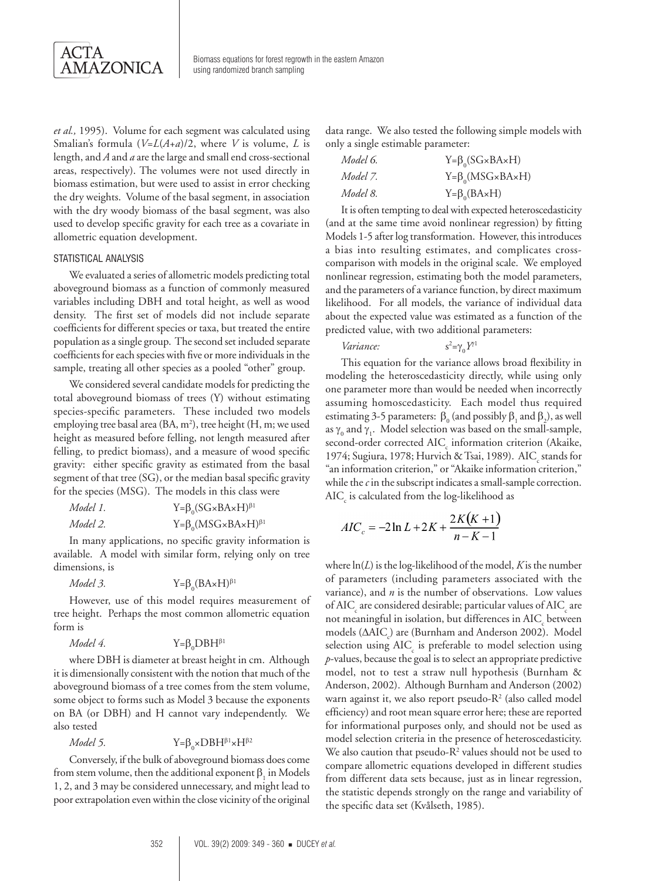

*et al.,* 1995). Volume for each segment was calculated using Smalian's formula (*V*=*L*(*A*+*a*)/2, where *V* is volume, *L* is length, and *A* and *a* are the large and small end cross-sectional areas, respectively). The volumes were not used directly in biomass estimation, but were used to assist in error checking the dry weights. Volume of the basal segment, in association with the dry woody biomass of the basal segment, was also used to develop specific gravity for each tree as a covariate in allometric equation development.

#### STATISTICAL ANALYSIS

We evaluated a series of allometric models predicting total aboveground biomass as a function of commonly measured variables including DBH and total height, as well as wood density. The first set of models did not include separate coefficients for different species or taxa, but treated the entire population as a single group. The second set included separate coefficients for each species with five or more individuals in the sample, treating all other species as a pooled "other" group.

We considered several candidate models for predicting the total aboveground biomass of trees (Y) without estimating species-specific parameters. These included two models employing tree basal area (BA, m<sup>2</sup>), tree height (H, m; we used height as measured before felling, not length measured after felling, to predict biomass), and a measure of wood specific gravity: either specific gravity as estimated from the basal segment of that tree (SG), or the median basal specific gravity for the species (MSG). The models in this class were

| Model 1. | $Y = \beta_0 (SG \times BA \times H)^{\beta_1}$  |
|----------|--------------------------------------------------|
| Model 2. | $Y = \beta_0 (MSG \times BA \times H)^{\beta_1}$ |

In many applications, no specific gravity information is available. A model with similar form, relying only on tree dimensions, is

```
Model 3.
                               Y = \beta_0 (BA \times H)^{\beta_1}
```
However, use of this model requires measurement of tree height. Perhaps the most common allometric equation form is

$$
Model\ 4. \qquad Y = \beta_0 DBH^{\beta 1}
$$

where DBH is diameter at breast height in cm. Although it is dimensionally consistent with the notion that much of the aboveground biomass of a tree comes from the stem volume, some object to forms such as Model 3 because the exponents on BA (or DBH) and H cannot vary independently. We also tested

*Model* 5.  $\times$ DBH $\beta$ <sup>1</sup> $\times$ H $\beta$ <sup>2</sup>

Conversely, if the bulk of aboveground biomass does come from stem volume, then the additional exponent  $\beta_1$  in Models 1, 2, and 3 may be considered unnecessary, and might lead to poor extrapolation even within the close vicinity of the original

data range. We also tested the following simple models with only a single estimable parameter:

| Model 6. | $Y = \beta_0 (SG \times BA \times H)$ |
|----------|---------------------------------------|
| Model 7. | $Y = \beta_0(MSG \times BA \times H)$ |
| Model 8. | $Y = \beta_0(BAxH)$                   |

It is often tempting to deal with expected heteroscedasticity (and at the same time avoid nonlinear regression) by fitting Models 1-5 after log transformation. However, this introduces a bias into resulting estimates, and complicates crosscomparison with models in the original scale. We employed nonlinear regression, estimating both the model parameters, and the parameters of a variance function, by direct maximum likelihood. For all models, the variance of individual data about the expected value was estimated as a function of the predicted value, with two additional parameters:

```
Variance:
                                                                 <sup>2</sup>=γ<sub>0</sub>Y<sup>1</sup>
```
This equation for the variance allows broad flexibility in modeling the heteroscedasticity directly, while using only one parameter more than would be needed when incorrectly assuming homoscedasticity. Each model thus required estimating 3-5 parameters:  $\beta_0$  (and possibly  $\beta_1$  and  $\beta_2$ ), as well as  $\gamma_0$  and  $\gamma_1$ . Model selection was based on the small-sample, second-order corrected AIC<sub>c</sub> information criterion (Akaike, 1974; Sugiura, 1978; Hurvich & Tsai, 1989).  $\mathrm{AIC}_\mathrm{c}$  stands for "an information criterion," or "Akaike information criterion," while the *c* in the subscript indicates a small-sample correction.  $\mathrm{AIC}_\mathrm{c}$  is calculated from the log-likelihood as

$$
AIC_c = -2\ln L + 2K + \frac{2K(K+1)}{n-K-1}
$$

where ln(*L*) is the log-likelihood of the model, *K* is the number of parameters (including parameters associated with the variance), and *n* is the number of observations. Low values of AIC<sub>c</sub> are considered desirable; particular values of AIC<sub>c</sub> are not meaningful in isolation, but differences in AIC<sub>c</sub> between models (ΔAIC<sub>c</sub>) are (Burnham and Anderson 2002). Model selection using AIC<sub>c</sub> is preferable to model selection using *p*-values, because the goal is to select an appropriate predictive model, not to test a straw null hypothesis (Burnham & Anderson, 2002). Although Burnham and Anderson (2002) warn against it, we also report pseudo-R<sup>2</sup> (also called model efficiency) and root mean square error here; these are reported for informational purposes only, and should not be used as model selection criteria in the presence of heteroscedasticity. We also caution that pseudo- $R<sup>2</sup>$  values should not be used to compare allometric equations developed in different studies from different data sets because, just as in linear regression, the statistic depends strongly on the range and variability of the specific data set (Kvålseth, 1985).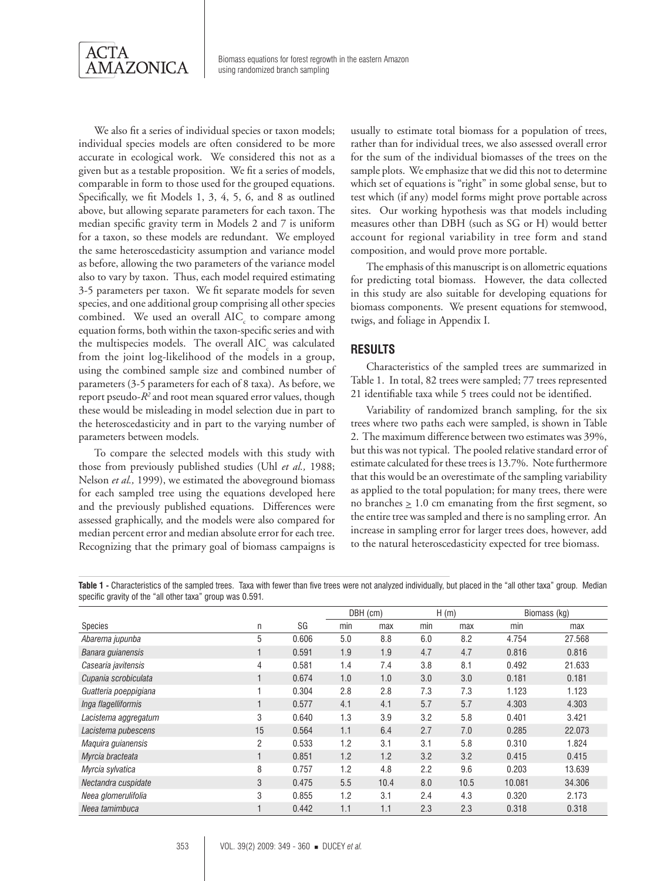

We also fit a series of individual species or taxon models; individual species models are often considered to be more accurate in ecological work. We considered this not as a given but as a testable proposition. We fit a series of models, comparable in form to those used for the grouped equations. Specifically, we fit Models 1, 3, 4, 5, 6, and 8 as outlined above, but allowing separate parameters for each taxon. The median specific gravity term in Models 2 and 7 is uniform for a taxon, so these models are redundant. We employed the same heteroscedasticity assumption and variance model as before, allowing the two parameters of the variance model also to vary by taxon. Thus, each model required estimating 3-5 parameters per taxon. We fit separate models for seven species, and one additional group comprising all other species combined. We used an overall  $\text{AIC}_{\text{c}}$  to compare among equation forms, both within the taxon-specific series and with the multispecies models. The overall AIC<sub>c</sub> was calculated from the joint log-likelihood of the models in a group, using the combined sample size and combined number of parameters (3-5 parameters for each of 8 taxa). As before, we report pseudo-*R2* and root mean squared error values, though these would be misleading in model selection due in part to the heteroscedasticity and in part to the varying number of parameters between models.

To compare the selected models with this study with those from previously published studies (Uhl *et al.,* 1988; Nelson *et al.,* 1999), we estimated the aboveground biomass for each sampled tree using the equations developed here and the previously published equations. Differences were assessed graphically, and the models were also compared for median percent error and median absolute error for each tree. Recognizing that the primary goal of biomass campaigns is

usually to estimate total biomass for a population of trees, rather than for individual trees, we also assessed overall error for the sum of the individual biomasses of the trees on the sample plots. We emphasize that we did this not to determine which set of equations is "right" in some global sense, but to test which (if any) model forms might prove portable across sites. Our working hypothesis was that models including measures other than DBH (such as SG or H) would better account for regional variability in tree form and stand composition, and would prove more portable.

The emphasis of this manuscript is on allometric equations for predicting total biomass. However, the data collected in this study are also suitable for developing equations for biomass components. We present equations for stemwood, twigs, and foliage in Appendix I.

# **RESULTS**

Characteristics of the sampled trees are summarized in Table 1. In total, 82 trees were sampled; 77 trees represented 21 identifiable taxa while 5 trees could not be identified.

Variability of randomized branch sampling, for the six trees where two paths each were sampled, is shown in Table 2. The maximum difference between two estimates was 39%, but this was not typical. The pooled relative standard error of estimate calculated for these trees is 13.7%. Note furthermore that this would be an overestimate of the sampling variability as applied to the total population; for many trees, there were no branches  $\geq 1.0$  cm emanating from the first segment, so the entire tree was sampled and there is no sampling error. An increase in sampling error for larger trees does, however, add to the natural heteroscedasticity expected for tree biomass.

**Table 1 -** Characteristics of the sampled trees. Taxa with fewer than five trees were not analyzed individually, but placed in the "all other taxa" group. Median specific gravity of the "all other taxa" group was 0.591*.*

|                       |                |       |     | DBH (cm) |     | H(m) |        | Biomass (kg) |
|-----------------------|----------------|-------|-----|----------|-----|------|--------|--------------|
| Species               | n              | SG    | min | max      | min | max  | min    | max          |
| Abarema jupunba       | 5              | 0.606 | 5.0 | 8.8      | 6.0 | 8.2  | 4.754  | 27.568       |
| Banara guianensis     |                | 0.591 | 1.9 | 1.9      | 4.7 | 4.7  | 0.816  | 0.816        |
| Casearia javitensis   | 4              | 0.581 | 1.4 | 7.4      | 3.8 | 8.1  | 0.492  | 21.633       |
| Cupania scrobiculata  |                | 0.674 | 1.0 | 1.0      | 3.0 | 3.0  | 0.181  | 0.181        |
| Guatteria poeppigiana |                | 0.304 | 2.8 | 2.8      | 7.3 | 7.3  | 1.123  | 1.123        |
| Inga flagelliformis   |                | 0.577 | 4.1 | 4.1      | 5.7 | 5.7  | 4.303  | 4.303        |
| Lacistema aggregatum  | 3              | 0.640 | 1.3 | 3.9      | 3.2 | 5.8  | 0.401  | 3.421        |
| Lacistema pubescens   | 15             | 0.564 | 1.1 | 6.4      | 2.7 | 7.0  | 0.285  | 22,073       |
| Maquira guianensis    | $\overline{2}$ | 0.533 | 1.2 | 3.1      | 3.1 | 5.8  | 0.310  | 1.824        |
| Myrcia bracteata      |                | 0.851 | 1.2 | 1.2      | 3.2 | 3.2  | 0.415  | 0.415        |
| Myrcia sylvatica      | 8              | 0.757 | 1.2 | 4.8      | 2.2 | 9.6  | 0.203  | 13.639       |
| Nectandra cuspidate   | 3              | 0.475 | 5.5 | 10.4     | 8.0 | 10.5 | 10.081 | 34.306       |
| Neea glomerulifolia   | 3              | 0.855 | 1.2 | 3.1      | 2.4 | 4.3  | 0.320  | 2.173        |
| Neea tamimbuca        |                | 0.442 | 1.1 | 1.1      | 2.3 | 2.3  | 0.318  | 0.318        |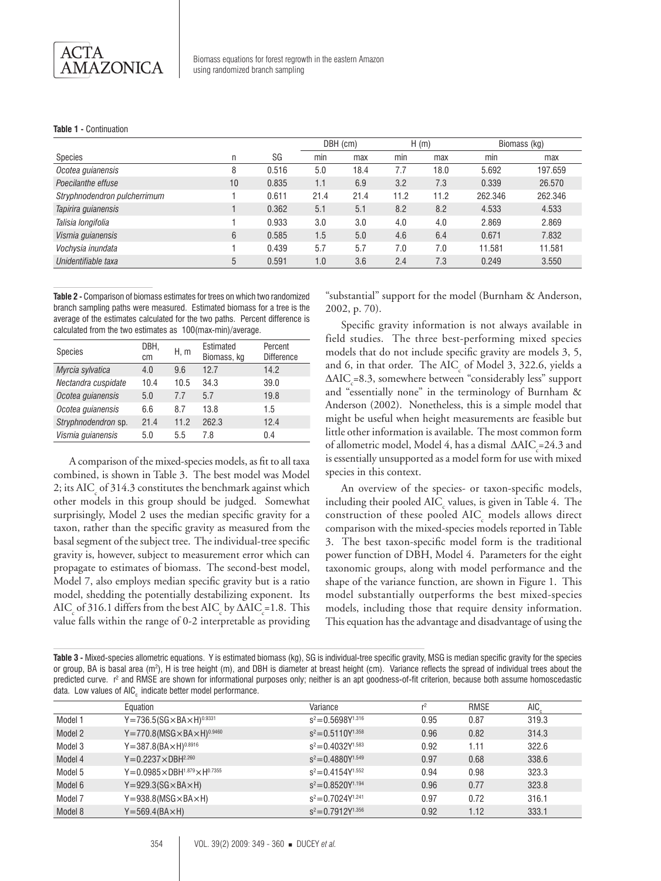#### **Table 1 -** Continuation

|                              |    |       |      | DBH (cm) |      | H(m) | Biomass (kg) |         |
|------------------------------|----|-------|------|----------|------|------|--------------|---------|
| Species                      | n  | SG    | min  | max      | min  | max  | min          | max     |
| Ocotea guianensis            | 8  | 0.516 | 5.0  | 18.4     | 7.7  | 18.0 | 5.692        | 197.659 |
| Poecilanthe effuse           | 10 | 0.835 | 1.1  | 6.9      | 3.2  | 7.3  | 0.339        | 26,570  |
| Stryphnodendron pulcherrimum |    | 0.611 | 21.4 | 21.4     | 11.2 | 11.2 | 262.346      | 262.346 |
| Tapirira guianensis          |    | 0.362 | 5.1  | 5.1      | 8.2  | 8.2  | 4.533        | 4.533   |
| Talisia longifolia           |    | 0.933 | 3.0  | 3.0      | 4.0  | 4.0  | 2.869        | 2.869   |
| Vismia guianensis            | 6  | 0.585 | 1.5  | 5.0      | 4.6  | 6.4  | 0.671        | 7.832   |
| Vochysia inundata            |    | 0.439 | 5.7  | 5.7      | 7.0  | 7.0  | 11.581       | 11.581  |
| Unidentifiable taxa          | 5  | 0.591 | 1.0  | 3.6      | 2.4  | 7.3  | 0.249        | 3.550   |

**Table 2 -** Comparison of biomass estimates for trees on which two randomized branch sampling paths were measured. Estimated biomass for a tree is the average of the estimates calculated for the two paths. Percent difference is calculated from the two estimates as 100(max-min)/average.

| <b>Species</b>      | DBH.<br>cm | H, m | Estimated<br>Biomass, kg | Percent<br><b>Difference</b> |
|---------------------|------------|------|--------------------------|------------------------------|
| Myrcia sylvatica    | 4.0        | 9.6  | 12.7                     | 14.2                         |
| Nectandra cuspidate | 10.4       | 10.5 | 34.3                     | 39.0                         |
| Ocotea guianensis   | 5.0        | 7.7  | 5.7                      | 19.8                         |
| Ocotea guianensis   | 6.6        | 8.7  | 13.8                     | 1.5                          |
| Stryphnodendron sp. | 21.4       | 11.2 | 262.3                    | 12.4                         |
| Vismia guianensis   | 5.0        | 5.5  | 7.8                      | 0.4                          |

A comparison of the mixed-species models, as fit to all taxa combined, is shown in Table 3. The best model was Model 2; its AIC<sub>c</sub> of 314.3 constitutes the benchmark against which other models in this group should be judged. Somewhat surprisingly, Model 2 uses the median specific gravity for a taxon, rather than the specific gravity as measured from the basal segment of the subject tree. The individual-tree specific gravity is, however, subject to measurement error which can propagate to estimates of biomass. The second-best model, Model 7, also employs median specific gravity but is a ratio model, shedding the potentially destabilizing exponent. Its  $\mathrm{AIC}_\mathrm{c}$  of 316.1 differs from the best  $\mathrm{AIC}_\mathrm{c}$  by  $\Delta \mathrm{AIC}_\mathrm{c}$ =1.8. This value falls within the range of 0-2 interpretable as providing

"substantial" support for the model (Burnham & Anderson, 2002, p. 70).

Specific gravity information is not always available in field studies. The three best-performing mixed species models that do not include specific gravity are models 3, 5, and 6, in that order. The  $AIC_c$  of Model 3, 322.6, yields a ∆AIC<sub>c</sub>=8.3, somewhere between "considerably less" support and "essentially none" in the terminology of Burnham & Anderson (2002). Nonetheless, this is a simple model that might be useful when height measurements are feasible but little other information is available. The most common form of allometric model, Model 4, has a dismal  $\triangle AIC_c = 24.3$  and is essentially unsupported as a model form for use with mixed species in this context.

An overview of the species- or taxon-specific models, including their pooled AIC<sub>c</sub> values, is given in Table 4. The construction of these pooled AIC<sub>c</sub> models allows direct comparison with the mixed-species models reported in Table 3. The best taxon-specific model form is the traditional power function of DBH, Model 4. Parameters for the eight taxonomic groups, along with model performance and the shape of the variance function, are shown in Figure 1. This model substantially outperforms the best mixed-species models, including those that require density information. This equation has the advantage and disadvantage of using the

**Table 3 -** Mixed-species allometric equations. Y is estimated biomass (kg), SG is individual-tree specific gravity, MSG is median specific gravity for the species or group, BA is basal area (m²), H is tree height (m), and DBH is diameter at breast height (cm). Variance reflects the spread of individual trees about the predicted curve. r<sup>2</sup> and RMSE are shown for informational purposes only; neither is an apt goodness-of-fit criterion, because both assume homoscedastic data. Low values of AIC, indicate better model performance.

|         | Equation                                                   | Variance                | $r^2$ | RMSE | AIC.  |
|---------|------------------------------------------------------------|-------------------------|-------|------|-------|
| Model 1 | $Y = 736.5(SG \times BA \times H)^{0.9331}$                | $s^2 = 0.5698Y^{1.316}$ | 0.95  | 0.87 | 319.3 |
| Model 2 | $Y = 770.8$ (MSG $\times$ BA $\times$ H) <sup>0.9460</sup> | $s^2 = 0.5110Y^{1.358}$ | 0.96  | 0.82 | 314.3 |
| Model 3 | $Y = 387.8(BA \times H)^{0.8916}$                          | $s^2 = 0.4032Y^{1.583}$ | 0.92  | 1.11 | 322.6 |
| Model 4 | $Y = 0.2237 \times DBH^{2.260}$                            | $s^2 = 0.4880Y^{1.549}$ | 0.97  | 0.68 | 338.6 |
| Model 5 | $Y = 0.0985 \times DBH^{1.879} \times H^{0.7355}$          | $s^2 = 0.4154Y^{1.552}$ | 0.94  | 0.98 | 323.3 |
| Model 6 | $Y = 929.3(SG \times BA \times H)$                         | $s^2 = 0.8520Y^{1.194}$ | 0.96  | 0.77 | 323.8 |
| Model 7 | $Y = 938.8(MSG \times BA \times H)$                        | $s^2 = 0.7024Y^{1.241}$ | 0.97  | 0.72 | 316.1 |
| Model 8 | $Y = 569.4(BA \times H)$                                   | $s^2 = 0.7912Y^{1.356}$ | 0.92  | 1.12 | 333.1 |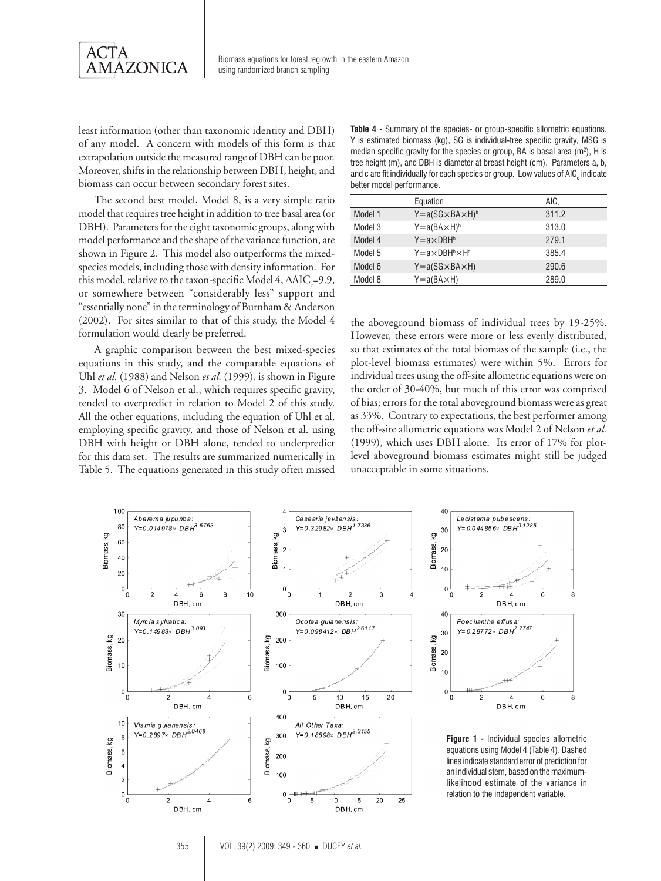

least information (other than taxonomic identity and DBH) of any model. A concern with models of this form is that extrapolation outside the measured range of DBH can be poor. Moreover, shifts in the relationship between DBH, height, and biomass can occur between secondary forest sites.

The second best model, Model 8, is a very simple ratio model that requires tree height in addition to tree basal area (or DBH). Parameters for the eight taxonomic groups, along with model performance and the shape of the variance function, are shown in Figure 2. This model also outperforms the mixedspecies models, including those with density information. For this model, relative to the taxon-specific Model 4,  $\triangle AIC_c = 9.9$ , or somewhere between "considerably less" support and "essentially none" in the terminology of Burnham & Anderson (2002). For sites similar to that of this study, the Model 4 formulation would clearly be preferred.

A graphic comparison between the best mixed-species equations in this study, and the comparable equations of Uhl *et al.* (1988) and Nelson *et al.* (1999), is shown in Figure 3. Model 6 of Nelson et al., which requires specific gravity, tended to overpredict in relation to Model 2 of this study. All the other equations, including the equation of Uhl et al. employing specific gravity, and those of Nelson et al. using DBH with height or DBH alone, tended to underpredict for this data set. The results are summarized numerically in Table 5. The equations generated in this study often missed

**Table 4 -** Summary of the species- or group-specific allometric equations. Y is estimated biomass (kg), SG is individual-tree specific gravity, MSG is median specific gravity for the species or group, BA is basal area  $(m^2)$ , H is tree height (m), and DBH is diameter at breast height (cm). Parameters a, b, and c are fit individually for each species or group. Low values of AIC $_{\textrm{\tiny{c}}}$  indicate better model performance.

|         | Equation                         | AIC.  |
|---------|----------------------------------|-------|
| Model 1 | $Y = a(SG \times BA \times H)^b$ | 311.2 |
| Model 3 | $Y = a(BA \times H)^b$           | 313.0 |
| Model 4 | $Y = a \times DBHb$              | 279.1 |
| Model 5 | $Y = a \times DBH^b \times H^c$  | 385.4 |
| Model 6 | $Y = a(SG \times BA \times H)$   | 290.6 |
| Model 8 | $Y = a(BA \times H)$             | 289.0 |

the aboveground biomass of individual trees by 19-25%. However, these errors were more or less evenly distributed, so that estimates of the total biomass of the sample (i.e., the plot-level biomass estimates) were within 5%. Errors for individual trees using the off-site allometric equations were on the order of 30-40%, but much of this error was comprised of bias; errors for the total aboveground biomass were as great as 33%. Contrary to expectations, the best performer among the off-site allometric equations was Model 2 of Nelson *et al.* (1999), which uses DBH alone. Its error of 17% for plotlevel aboveground biomass estimates might still be judged unacceptable in some situations.



Lacistema pubescens:<br>Y= 0.044 856×DBH<sup>3.1285</sup> 6 2  $\overline{4}$ 8 DBH.cm Poecilanthe effus a  $Y = 0.28772 \times DBH^{2.2747}$  $\overline{2}$  $\overline{4}$ 6 8 DBH, cm

**Figure 1 -** Individual species allometric equations using Model 4 (Table 4). Dashed lines indicate standard error of prediction for an individual stem, based on the maximumlikelihood estimate of the variance in relation to the independent variable.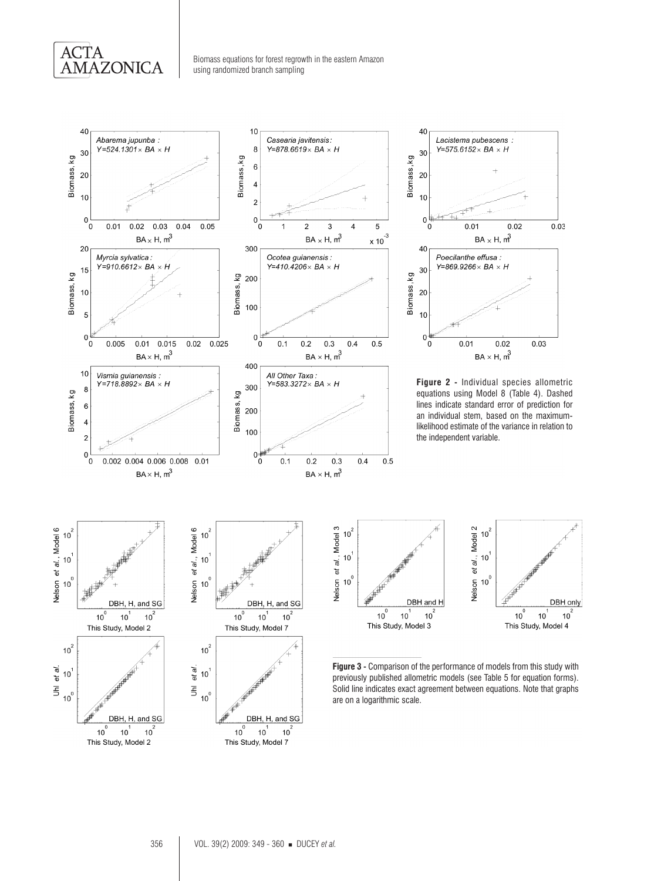

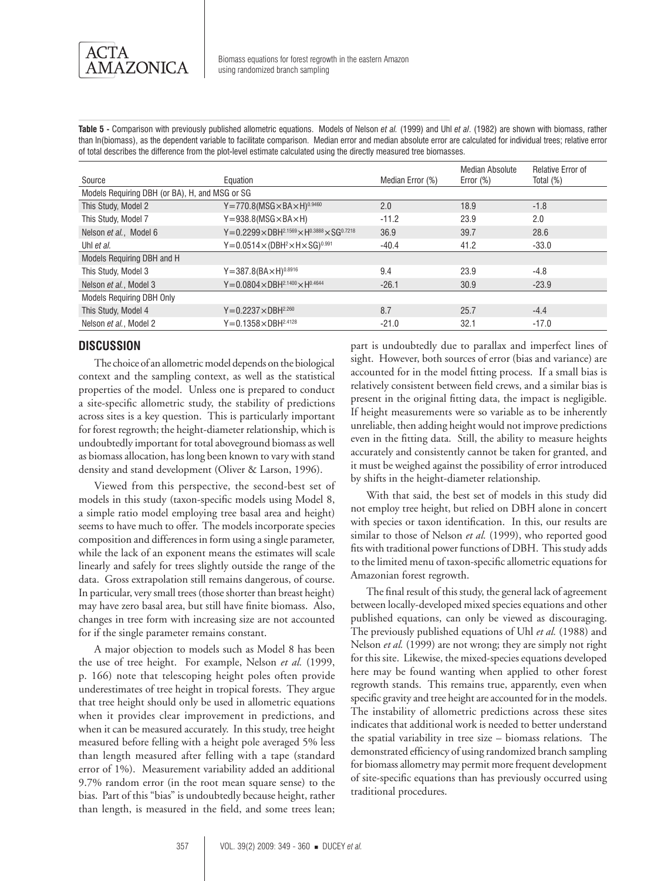

**Table 5 -** Comparison with previously published allometric equations. Models of Nelson *et al.* (1999) and Uhl *et al*. (1982) are shown with biomass, rather than ln(biomass), as the dependent variable to facilitate comparison. Median error and median absolute error are calculated for individual trees; relative error of total describes the difference from the plot-level estimate calculated using the directly measured tree biomasses.

|                                                |                                                                             |                  | Median Absolute | Relative Error of |  |
|------------------------------------------------|-----------------------------------------------------------------------------|------------------|-----------------|-------------------|--|
| Source                                         | Equation                                                                    | Median Error (%) | Error $(\%)$    | Total $(\%)$      |  |
| Models Requiring DBH (or BA), H, and MSG or SG |                                                                             |                  |                 |                   |  |
| This Study, Model 2                            | $Y = 770.8$ (MSG $\times$ BA $\times$ H) <sup>0.9460</sup>                  | 2.0              | 18.9            | $-1.8$            |  |
| This Study, Model 7                            | $Y = 938.8(MSG \times BA \times H)$                                         | $-11.2$          | 23.9            | 2.0               |  |
| Nelson et al., Model 6                         | Y=0.2299×DBH <sup>2.1569</sup> ×H0.3888×SG0.7218                            | 36.9             | 39.7            | 28.6              |  |
| Uhl et al.                                     | $Y=0.0514\times$ (DBH <sup>2</sup> $\times$ H $\times$ SG) <sup>0.991</sup> | $-40.4$          | 41.2            | $-33.0$           |  |
| Models Requiring DBH and H                     |                                                                             |                  |                 |                   |  |
| This Study, Model 3                            | $Y = 387.8(BA \times H)^{0.8916}$                                           | 9.4              | 23.9            | $-4.8$            |  |
| Nelson et al., Model 3                         | $Y = 0.0804 \times DBH^{2.1400} \times H^{0.4644}$                          | $-26.1$          | 30.9            | $-23.9$           |  |
| <b>Models Requiring DBH Only</b>               |                                                                             |                  |                 |                   |  |
| This Study, Model 4                            | $Y = 0.2237 \times DBH^{2.260}$                                             | 8.7              | 25.7            | $-4.4$            |  |
| Nelson et al., Model 2                         | $Y = 0.1358 \times DBH^{2.4128}$                                            | $-21.0$          | 32.1            | $-17.0$           |  |

# **DISCUSSION**

The choice of an allometric model depends on the biological context and the sampling context, as well as the statistical properties of the model. Unless one is prepared to conduct a site-specific allometric study, the stability of predictions across sites is a key question. This is particularly important for forest regrowth; the height-diameter relationship, which is undoubtedly important for total aboveground biomass as well as biomass allocation, has long been known to vary with stand density and stand development (Oliver & Larson, 1996).

Viewed from this perspective, the second-best set of models in this study (taxon-specific models using Model 8, a simple ratio model employing tree basal area and height) seems to have much to offer. The models incorporate species composition and differences in form using a single parameter, while the lack of an exponent means the estimates will scale linearly and safely for trees slightly outside the range of the data. Gross extrapolation still remains dangerous, of course. In particular, very small trees (those shorter than breast height) may have zero basal area, but still have finite biomass. Also, changes in tree form with increasing size are not accounted for if the single parameter remains constant.

A major objection to models such as Model 8 has been the use of tree height. For example, Nelson *et al.* (1999, p. 166) note that telescoping height poles often provide underestimates of tree height in tropical forests. They argue that tree height should only be used in allometric equations when it provides clear improvement in predictions, and when it can be measured accurately. In this study, tree height measured before felling with a height pole averaged 5% less than length measured after felling with a tape (standard error of 1%). Measurement variability added an additional 9.7% random error (in the root mean square sense) to the bias. Part of this "bias" is undoubtedly because height, rather than length, is measured in the field, and some trees lean;

part is undoubtedly due to parallax and imperfect lines of sight. However, both sources of error (bias and variance) are accounted for in the model fitting process. If a small bias is relatively consistent between field crews, and a similar bias is present in the original fitting data, the impact is negligible. If height measurements were so variable as to be inherently unreliable, then adding height would not improve predictions even in the fitting data. Still, the ability to measure heights accurately and consistently cannot be taken for granted, and it must be weighed against the possibility of error introduced by shifts in the height-diameter relationship.

With that said, the best set of models in this study did not employ tree height, but relied on DBH alone in concert with species or taxon identification. In this, our results are similar to those of Nelson *et al.* (1999), who reported good fits with traditional power functions of DBH. This study adds to the limited menu of taxon-specific allometric equations for Amazonian forest regrowth.

The final result of this study, the general lack of agreement between locally-developed mixed species equations and other published equations, can only be viewed as discouraging. The previously published equations of Uhl *et al.* (1988) and Nelson *et al.* (1999) are not wrong; they are simply not right for this site. Likewise, the mixed-species equations developed here may be found wanting when applied to other forest regrowth stands. This remains true, apparently, even when specific gravity and tree height are accounted for in the models. The instability of allometric predictions across these sites indicates that additional work is needed to better understand the spatial variability in tree size – biomass relations. The demonstrated efficiency of using randomized branch sampling for biomass allometry may permit more frequent development of site-specific equations than has previously occurred using traditional procedures.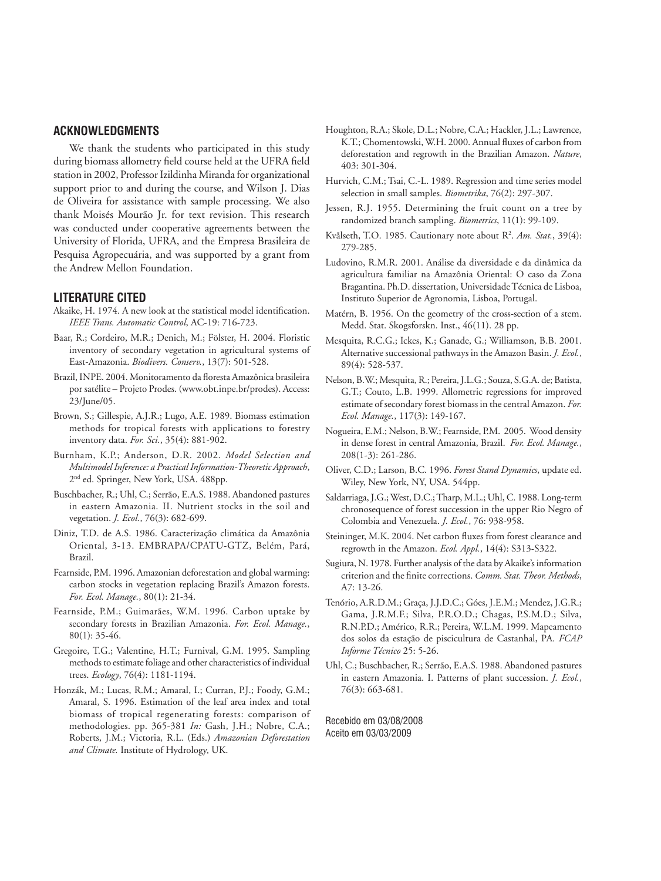# **ACKNOWLEDGMENTS**

We thank the students who participated in this study during biomass allometry field course held at the UFRA field station in 2002, Professor Izildinha Miranda for organizational support prior to and during the course, and Wilson J. Dias de Oliveira for assistance with sample processing. We also thank Moisés Mourão Jr. for text revision. This research was conducted under cooperative agreements between the University of Florida, UFRA, and the Empresa Brasileira de Pesquisa Agropecuária, and was supported by a grant from the Andrew Mellon Foundation.

## **LITERATURE CITED**

- Akaike, H. 1974. A new look at the statistical model identification. *IEEE Trans. Automatic Control*, AC-19: 716-723.
- Baar, R.; Cordeiro, M.R.; Denich, M.; Fölster, H. 2004. Floristic inventory of secondary vegetation in agricultural systems of East-Amazonia. *Biodivers. Conserv.*, 13(7): 501-528.
- Brazil, INPE. 2004. Monitoramento da floresta Amazônica brasileira por satélite – Projeto Prodes. (www.obt.inpe.br/prodes). Access: 23/June/05.
- Brown, S.; Gillespie, A.J.R.; Lugo, A.E. 1989. Biomass estimation methods for tropical forests with applications to forestry inventory data. *For. Sci.*, 35(4): 881-902.
- Burnham, K.P.; Anderson, D.R. 2002. *Model Selection and Multimodel Inference: a Practical Information-Theoretic Approach*, 2nd ed. Springer, New York, USA. 488pp.
- Buschbacher, R.; Uhl, C.; Serrão, E.A.S. 1988. Abandoned pastures in eastern Amazonia. II. Nutrient stocks in the soil and vegetation. *J. Ecol.*, 76(3): 682-699.
- Diniz, T.D. de A.S. 1986. Caracterização climática da Amazônia Oriental, 3-13. EMBRAPA/CPATU-GTZ, Belém, Pará, Brazil.
- Fearnside, P.M. 1996. Amazonian deforestation and global warming: carbon stocks in vegetation replacing Brazil's Amazon forests. *For. Ecol. Manage.*, 80(1): 21-34.
- Fearnside, P.M.; Guimarães, W.M. 1996. Carbon uptake by secondary forests in Brazilian Amazonia. *For. Ecol. Manage.*, 80(1): 35-46.
- Gregoire, T.G.; Valentine, H.T.; Furnival, G.M. 1995. Sampling methods to estimate foliage and other characteristics of individual trees. *Ecology*, 76(4): 1181-1194.
- Honzák, M.; Lucas, R.M.; Amaral, I.; Curran, P.J.; Foody, G.M.; Amaral, S. 1996. Estimation of the leaf area index and total biomass of tropical regenerating forests: comparison of methodologies. pp. 365-381 *In:* Gash, J.H.; Nobre, C.A.; Roberts, J.M.; Victoria, R.L. (Eds.) *Amazonian Deforestation and Climate.* Institute of Hydrology, UK.
- Houghton, R.A.; Skole, D.L.; Nobre, C.A.; Hackler, J.L.; Lawrence, K.T.; Chomentowski, W.H. 2000. Annual fluxes of carbon from deforestation and regrowth in the Brazilian Amazon. *Nature*, 403: 301-304.
- Hurvich, C.M.; Tsai, C.-L. 1989. Regression and time series model selection in small samples. *Biometrika*, 76(2): 297-307.
- Jessen, R.J. 1955. Determining the fruit count on a tree by randomized branch sampling. *Biometrics*, 11(1): 99-109.
- Kvålseth, T.O. 1985. Cautionary note about R<sup>2</sup>. Am. Stat., 39(4): 279-285.
- Ludovino, R.M.R. 2001. Análise da diversidade e da dinâmica da agricultura familiar na Amazônia Oriental: O caso da Zona Bragantina. Ph.D. dissertation, Universidade Técnica de Lisboa, Instituto Superior de Agronomia, Lisboa, Portugal.
- Matérn, B. 1956. On the geometry of the cross-section of a stem. Medd. Stat. Skogsforskn. Inst., 46(11). 28 pp.
- Mesquita, R.C.G.; Ickes, K.; Ganade, G.; Williamson, B.B. 2001. Alternative successional pathways in the Amazon Basin. *J. Ecol.*, 89(4): 528-537.
- Nelson, B.W.; Mesquita, R.; Pereira, J.L.G.; Souza, S.G.A. de; Batista, G.T.; Couto, L.B. 1999. Allometric regressions for improved estimate of secondary forest biomass in the central Amazon. *For. Ecol. Manage.*, 117(3): 149-167.
- Nogueira, E.M.; Nelson, B.W.; Fearnside, P.M. 2005. Wood density in dense forest in central Amazonia, Brazil. *For. Ecol. Manage.*, 208(1-3): 261-286.
- Oliver, C.D.; Larson, B.C. 1996. *Forest Stand Dynamics*, update ed. Wiley, New York, NY, USA. 544pp.
- Saldarriaga, J.G.; West, D.C.; Tharp, M.L.; Uhl, C. 1988. Long-term chronosequence of forest succession in the upper Rio Negro of Colombia and Venezuela. *J. Ecol.*, 76: 938-958.
- Steininger, M.K. 2004. Net carbon fluxes from forest clearance and regrowth in the Amazon. *Ecol. Appl.*, 14(4): S313-S322.
- Sugiura, N. 1978. Further analysis of the data by Akaike's information criterion and the finite corrections. *Comm. Stat. Theor. Methods*, A7: 13-26.
- Tenório, A.R.D.M.; Graça, J.J.D.C.; Góes, J.E.M.; Mendez, J.G.R.; Gama, J.R.M.F.; Silva, P.R.O.D.; Chagas, P.S.M.D.; Silva, R.N.P.D.; Américo, R.R.; Pereira, W.L.M. 1999. Mapeamento dos solos da estação de piscicultura de Castanhal, PA. *FCAP Informe Técnico* 25: 5-26.
- Uhl, C.; Buschbacher, R.; Serrão, E.A.S. 1988. Abandoned pastures in eastern Amazonia. I. Patterns of plant succession. *J. Ecol.*, 76(3): 663-681.

Recebido em 03/08/2008 Aceito em 03/03/2009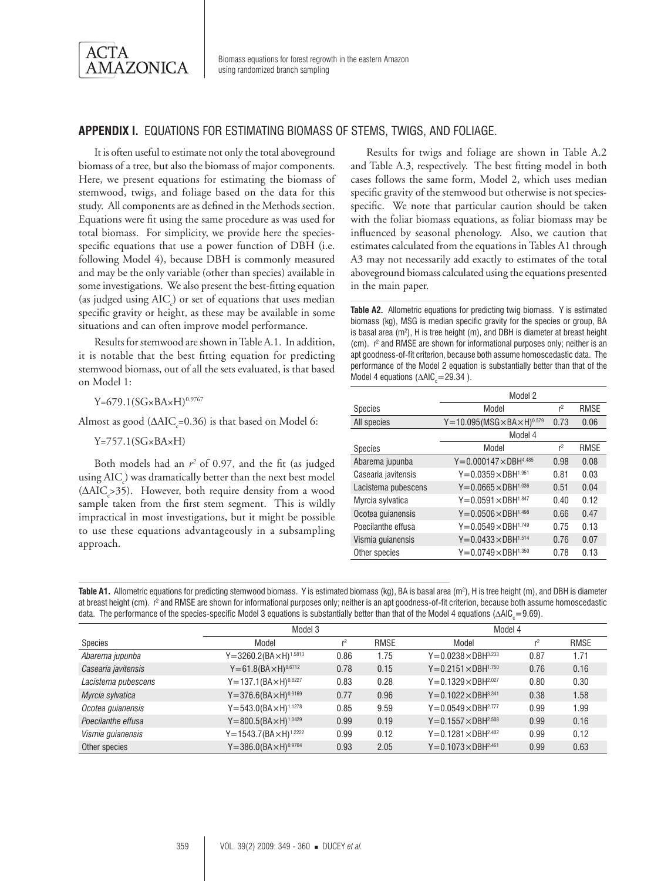

# **APPENDIX I.** EQUATIONS FOR ESTIMATING BIOMASS OF STEMS, TWIGS, AND FOLIAGE.

It is often useful to estimate not only the total aboveground biomass of a tree, but also the biomass of major components. Here, we present equations for estimating the biomass of stemwood, twigs, and foliage based on the data for this study. All components are as defined in the Methods section. Equations were fit using the same procedure as was used for total biomass. For simplicity, we provide here the speciesspecific equations that use a power function of DBH (i.e. following Model 4), because DBH is commonly measured and may be the only variable (other than species) available in some investigations. We also present the best-fitting equation (as judged using  $AIC_c$ ) or set of equations that uses median specific gravity or height, as these may be available in some situations and can often improve model performance.

Results for stemwood are shown in Table A.1. In addition, it is notable that the best fitting equation for predicting stemwood biomass, out of all the sets evaluated, is that based on Model 1:

 $Y=679.1(SG\times BA\times H)^{0.9767}$ 

Almost as good ( $\Delta AIC_{c} = 0.36$ ) is that based on Model 6:

 $Y=757.1(SG\times BA\times H)$ 

Both models had an  $r^2$  of 0.97, and the fit (as judged using AIC<sub>c</sub>) was dramatically better than the next best model (∆AIC<sub>c</sub>>35). However, both require density from a wood sample taken from the first stem segment. This is wildly impractical in most investigations, but it might be possible to use these equations advantageously in a subsampling approach.

Results for twigs and foliage are shown in Table A.2 and Table A.3, respectively. The best fitting model in both cases follows the same form, Model 2, which uses median specific gravity of the stemwood but otherwise is not speciesspecific. We note that particular caution should be taken with the foliar biomass equations, as foliar biomass may be influenced by seasonal phenology. Also, we caution that estimates calculated from the equations in Tables A1 through A3 may not necessarily add exactly to estimates of the total aboveground biomass calculated using the equations presented in the main paper.

**Table A2.** Allometric equations for predicting twig biomass. Y is estimated biomass (kg), MSG is median specific gravity for the species or group, BA is basal area ( $m^2$ ), H is tree height (m), and DBH is diameter at breast height (cm).  $r^2$  and RMSE are shown for informational purposes only; neither is an apt goodness-of-fit criterion, because both assume homoscedastic data. The performance of the Model 2 equation is substantially better than that of the Model 4 equations ( $\triangle$ AIC<sub>c</sub>=29.34).

|                     | Model 2                                      |                |             |
|---------------------|----------------------------------------------|----------------|-------------|
| <b>Species</b>      | Model                                        | r <sup>2</sup> | <b>RMSE</b> |
| All species         | $Y = 10.095(MSG \times BA \times H)^{0.579}$ | 0.73           | 0.06        |
|                     | Model 4                                      |                |             |
| <b>Species</b>      | Model                                        | r <sup>2</sup> | <b>RMSE</b> |
| Abarema jupunba     | $Y = 0.000147 \times DBH^{4.485}$            | 0.98           | 0.08        |
| Casearia javitensis | $Y = 0.0359 \times DBH^{1.951}$              | 0.81           | 0.03        |
| Lacistema pubescens | $Y = 0.0665 \times DBH^{1.036}$              | 0.51           | 0.04        |
| Myrcia sylvatica    | $Y = 0.0591 \times DBH^{1.847}$              | 0.40           | 0.12        |
| Ocotea quianensis   | $Y = 0.0506 \times DBH^{1.498}$              | 0.66           | 0.47        |
| Poecilanthe effusa  | $Y = 0.0549 \times DBH^{1.749}$              | 0.75           | 0.13        |
| Vismia quianensis   | $Y = 0.0433 \times DBH^{1.514}$              | 0.76           | 0.07        |
| Other species       | $Y = 0.0749 \times DBH^{1.350}$              | 0.78           | 0.13        |

| Table A1. Allometric equations for predicting stemwood biomass. Y is estimated biomass (kg), BA is basal area ( $m^2$ ), H is tree height (m), and DBH is diameter       |
|--------------------------------------------------------------------------------------------------------------------------------------------------------------------------|
| at breast height (cm). r <sup>2</sup> and RMSE are shown for informational purposes only; neither is an apt goodness-of-fit criterion, because both assume homoscedastic |
| data. The performance of the species-specific Model 3 equations is substantially better than that of the Model 4 equations ( $\triangle AIC_r = 9.69$ ).                 |

|                     | Model 3                            |                |             | Model 4                         |                |             |
|---------------------|------------------------------------|----------------|-------------|---------------------------------|----------------|-------------|
| Species             | Model                              | r <sup>2</sup> | <b>RMSE</b> | Model                           | r <sup>2</sup> | <b>RMSE</b> |
| Abarema jupunba     | $Y = 3260.2(BA \times H)^{1.5813}$ | 0.86           | 1.75        | $Y = 0.0238 \times DBH^{3.233}$ | 0.87           | 1.71        |
| Casearia javitensis | $Y = 61.8(BA \times H)^{0.6712}$   | 0.78           | 0.15        | $Y = 0.2151 \times DBH^{1.750}$ | 0.76           | 0.16        |
| Lacistema pubescens | $Y = 137.1(BA \times H)^{0.8227}$  | 0.83           | 0.28        | $Y = 0.1329 \times DBH^{2.027}$ | 0.80           | 0.30        |
| Myrcia sylvatica    | $Y = 376.6(BA \times H)^{0.9169}$  | 0.77           | 0.96        | $Y = 0.1022 \times DBH^{3.341}$ | 0.38           | 1.58        |
| Ocotea guianensis   | $Y = 543.0(BA \times H)^{1.1278}$  | 0.85           | 9.59        | $Y = 0.0549 \times DBH^{2.777}$ | 0.99           | 1.99        |
| Poecilanthe effusa  | $Y = 800.5(BA \times H)^{1.0429}$  | 0.99           | 0.19        | $Y = 0.1557 \times DBH^{2.508}$ | 0.99           | 0.16        |
| Vismia guianensis   | $Y = 1543.7(BA \times H)^{1.2222}$ | 0.99           | 0.12        | $Y = 0.1281 \times DBH^{2.402}$ | 0.99           | 0.12        |
| Other species       | $Y = 386.0(BA \times H)^{0.9704}$  | 0.93           | 2.05        | $Y = 0.1073 \times DBH^{2.461}$ | 0.99           | 0.63        |